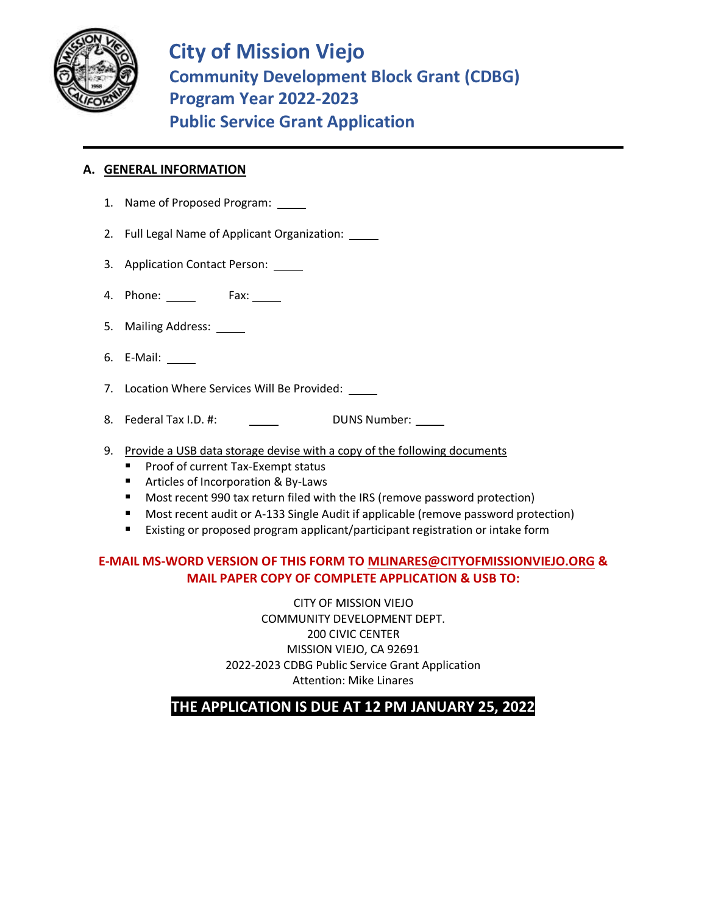

**City of Mission Viejo Community Development Block Grant (CDBG) Program Year 2022-2023 Public Service Grant Application**

## **A. GENERAL INFORMATION**

- 1. Name of Proposed Program:
- 2. Full Legal Name of Applicant Organization:
- 3. Application Contact Person:
- 4. Phone: \_\_\_\_\_\_\_ Fax: \_\_\_\_\_
- 5. Mailing Address:
- 6. E-Mail:
- 7. Location Where Services Will Be Provided:
- 8. Federal Tax I.D. #: DUNS Number:
- 9. Provide a USB data storage devise with a copy of the following documents
	- Proof of current Tax-Exempt status
	- Articles of Incorporation & By-Laws
	- Most recent 990 tax return filed with the IRS (remove password protection)
	- Most recent audit or A-133 Single Audit if applicable (remove password protection)
	- Existing or proposed program applicant/participant registration or intake form

# **E-MAIL MS-WORD VERSION OF THIS FORM TO [MLINARES@CITYOFMISSIONVIEJO.ORG](mailto:MLINARES@CITYOFMISSIONVIEJO.ORG) & MAIL PAPER COPY OF COMPLETE APPLICATION & USB TO:**

CITY OF MISSION VIEJO COMMUNITY DEVELOPMENT DEPT. 200 CIVIC CENTER MISSION VIEJO, CA 92691 2022-2023 CDBG Public Service Grant Application Attention: Mike Linares

**THE APPLICATION IS DUE AT 12 PM JANUARY 25, 2022**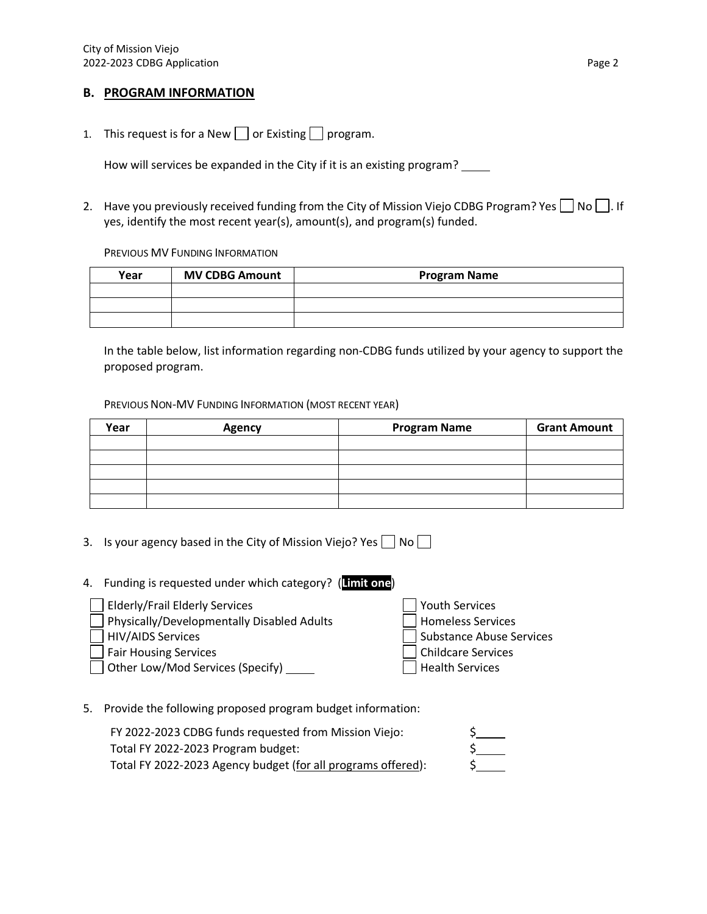### **B. PROGRAM INFORMATION**

1. This request is for a New  $\Box$  or Existing  $\Box$  program.

How will services be expanded in the City if it is an existing program?

2. Have you previously received funding from the City of Mission Viejo CDBG Program? Yes  $\Box$  No  $\Box$ . If yes, identify the most recent year(s), amount(s), and program(s) funded.

PREVIOUS MV FUNDING INFORMATION

| Year | <b>MV CDBG Amount</b> | <b>Program Name</b> |  |  |  |
|------|-----------------------|---------------------|--|--|--|
|      |                       |                     |  |  |  |
|      |                       |                     |  |  |  |
|      |                       |                     |  |  |  |

In the table below, list information regarding non-CDBG funds utilized by your agency to support the proposed program.

#### PREVIOUS NON-MV FUNDING INFORMATION (MOST RECENT YEAR)

| Year | <b>Agency</b> | <b>Program Name</b> | <b>Grant Amount</b> |
|------|---------------|---------------------|---------------------|
|      |               |                     |                     |
|      |               |                     |                     |
|      |               |                     |                     |
|      |               |                     |                     |
|      |               |                     |                     |

- 3. Is your agency based in the City of Mission Viejo? Yes  $\Box$  No  $\Box$
- 4. Funding is requested under which category? (**Limit one**) Elderly/Frail Elderly Services Youth Services Physically/Developmentally Disabled Adults Homeless Services **HIV/AIDS Services** Substance Abuse Services
	- Fair Housing Services **Childcare Services**

Other Low/Mod Services (Specify) General According Health Services

5. Provide the following proposed program budget information:

| FY 2022-2023 CDBG funds requested from Mission Viejo:        |  |
|--------------------------------------------------------------|--|
| Total FY 2022-2023 Program budget:                           |  |
| Total FY 2022-2023 Agency budget (for all programs offered): |  |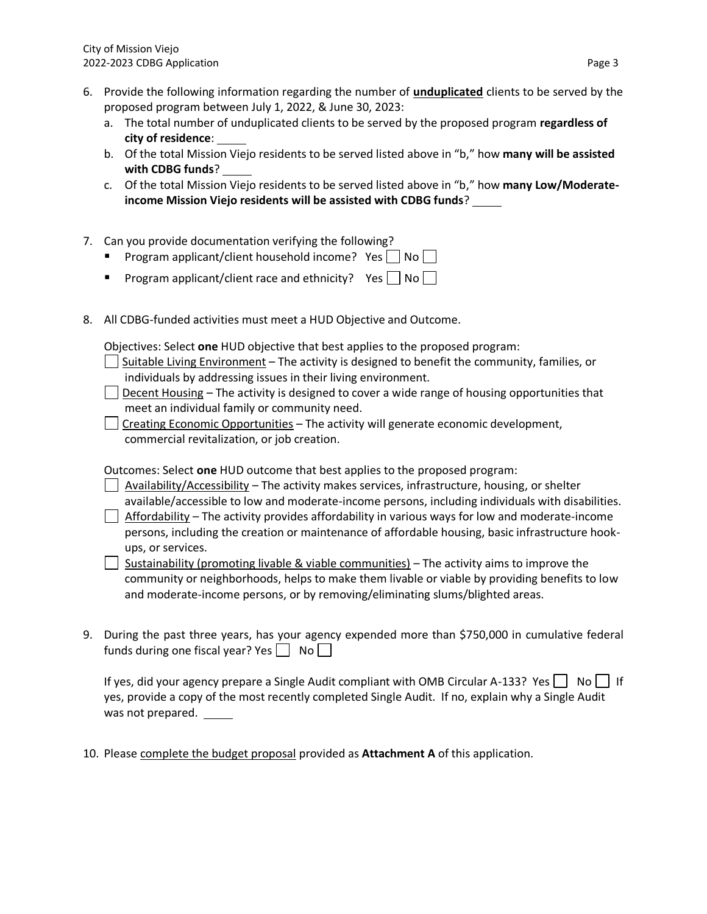- 6. Provide the following information regarding the number of **unduplicated** clients to be served by the proposed program between July 1, 2022, & June 30, 2023:
	- a. The total number of unduplicated clients to be served by the proposed program **regardless of city of residence**:
	- b. Of the total Mission Viejo residents to be served listed above in "b," how **many will be assisted with CDBG funds**?
	- c. Of the total Mission Viejo residents to be served listed above in "b," how **many Low/Moderateincome Mission Viejo residents will be assisted with CDBG funds**?
- 7. Can you provide documentation verifying the following?
	- **•** Program applicant/client household income? Yes  $\Box$  No  $\Box$
	- **•** Program applicant/client race and ethnicity? Yes  $\Box$  No
- 8. All CDBG-funded activities must meet a HUD Objective and Outcome.

Objectives: Select **one** HUD objective that best applies to the proposed program:

- Suitable Living Environment The activity is designed to benefit the community, families, or individuals by addressing issues in their living environment.
- $\Box$  Decent Housing The activity is designed to cover a wide range of housing opportunities that meet an individual family or community need.
- $\Box$  Creating Economic Opportunities The activity will generate economic development, commercial revitalization, or job creation.

Outcomes: Select **one** HUD outcome that best applies to the proposed program:

- $\Box$  Availability/Accessibility The activity makes services, infrastructure, housing, or shelter available/accessible to low and moderate-income persons, including individuals with disabilities.
- $\Box$  Affordability The activity provides affordability in various ways for low and moderate-income persons, including the creation or maintenance of affordable housing, basic infrastructure hookups, or services.

Sustainability (promoting livable & viable communities) – The activity aims to improve the community or neighborhoods, helps to make them livable or viable by providing benefits to low and moderate-income persons, or by removing/eliminating slums/blighted areas.

9. During the past three years, has your agency expended more than \$750,000 in cumulative federal funds during one fiscal year? Yes  $\Box$  No

If yes, did your agency prepare a Single Audit compliant with OMB Circular A-133? Yes  $\vert$  No  $\vert$  If yes, provide a copy of the most recently completed Single Audit. If no, explain why a Single Audit was not prepared.

10. Please complete the budget proposal provided as **Attachment A** of this application.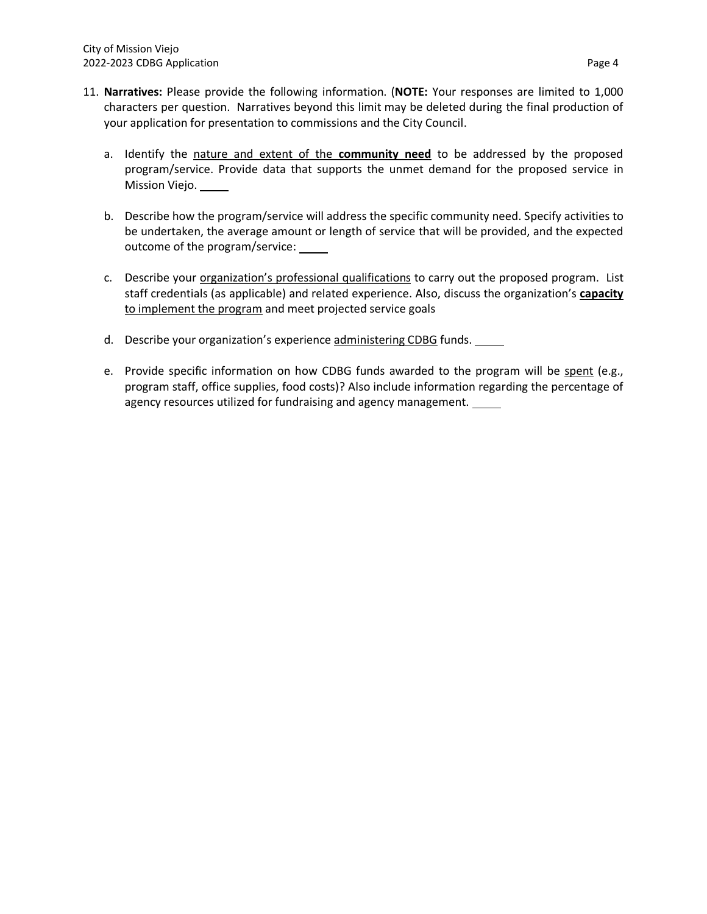- 11. **Narratives:** Please provide the following information. (**NOTE:** Your responses are limited to 1,000 characters per question. Narratives beyond this limit may be deleted during the final production of your application for presentation to commissions and the City Council.
	- a. Identify the nature and extent of the **community need** to be addressed by the proposed program/service. Provide data that supports the unmet demand for the proposed service in Mission Viejo.
	- b. Describe how the program/service will address the specific community need. Specify activities to be undertaken, the average amount or length of service that will be provided, and the expected outcome of the program/service:
	- c. Describe your organization's professional qualifications to carry out the proposed program. List staff credentials (as applicable) and related experience. Also, discuss the organization's **capacity** to implement the program and meet projected service goals
	- d. Describe your organization's experience administering CDBG funds.
	- e. Provide specific information on how CDBG funds awarded to the program will be spent (e.g., program staff, office supplies, food costs)? Also include information regarding the percentage of agency resources utilized for fundraising and agency management.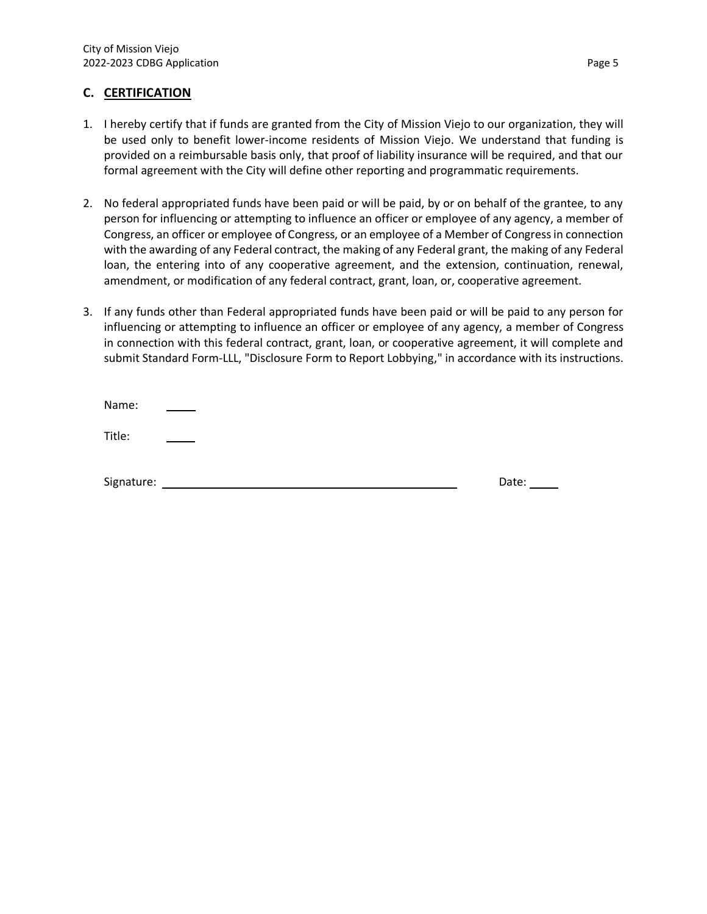### **C. CERTIFICATION**

- 1. I hereby certify that if funds are granted from the City of Mission Viejo to our organization, they will be used only to benefit lower-income residents of Mission Viejo. We understand that funding is provided on a reimbursable basis only, that proof of liability insurance will be required, and that our formal agreement with the City will define other reporting and programmatic requirements.
- 2. No federal appropriated funds have been paid or will be paid, by or on behalf of the grantee, to any person for influencing or attempting to influence an officer or employee of any agency, a member of Congress, an officer or employee of Congress, or an employee of a Member of Congress in connection with the awarding of any Federal contract, the making of any Federal grant, the making of any Federal loan, the entering into of any cooperative agreement, and the extension, continuation, renewal, amendment, or modification of any federal contract, grant, loan, or, cooperative agreement.
- 3. If any funds other than Federal appropriated funds have been paid or will be paid to any person for influencing or attempting to influence an officer or employee of any agency, a member of Congress in connection with this federal contract, grant, loan, or cooperative agreement, it will complete and submit Standard Form-LLL, "Disclosure Form to Report Lobbying," in accordance with its instructions.

| Name:      |       |
|------------|-------|
| Title:     |       |
| Signature: | Date: |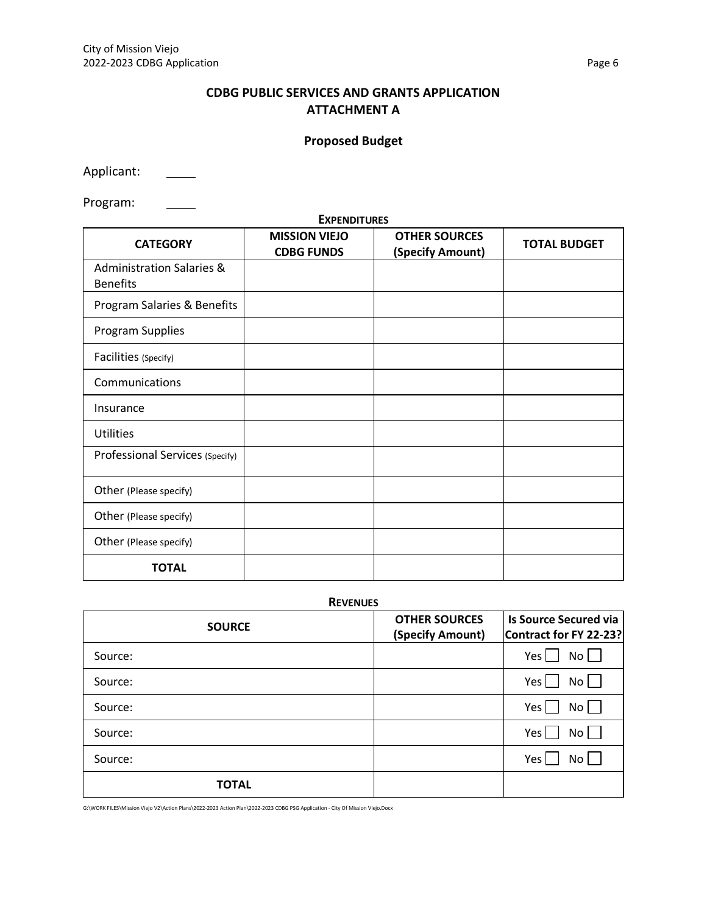# **CDBG PUBLIC SERVICES AND GRANTS APPLICATION ATTACHMENT A**

# **Proposed Budget**

Applicant:

Program:  $\overline{\phantom{a}}$ 

| <b>EXPENDITURES</b><br><b>MISSION VIEJO</b><br><b>OTHER SOURCES</b> |                   |                  |                     |  |  |  |  |  |
|---------------------------------------------------------------------|-------------------|------------------|---------------------|--|--|--|--|--|
| <b>CATEGORY</b>                                                     | <b>CDBG FUNDS</b> | (Specify Amount) | <b>TOTAL BUDGET</b> |  |  |  |  |  |
| <b>Administration Salaries &amp;</b><br><b>Benefits</b>             |                   |                  |                     |  |  |  |  |  |
| Program Salaries & Benefits                                         |                   |                  |                     |  |  |  |  |  |
| Program Supplies                                                    |                   |                  |                     |  |  |  |  |  |
| Facilities (Specify)                                                |                   |                  |                     |  |  |  |  |  |
| Communications                                                      |                   |                  |                     |  |  |  |  |  |
| Insurance                                                           |                   |                  |                     |  |  |  |  |  |
| <b>Utilities</b>                                                    |                   |                  |                     |  |  |  |  |  |
| Professional Services (Specify)                                     |                   |                  |                     |  |  |  |  |  |
| Other (Please specify)                                              |                   |                  |                     |  |  |  |  |  |
| Other (Please specify)                                              |                   |                  |                     |  |  |  |  |  |
| Other (Please specify)                                              |                   |                  |                     |  |  |  |  |  |
| <b>TOTAL</b>                                                        |                   |                  |                     |  |  |  |  |  |

**REVENUES**

| <b>SOURCE</b> | <b>OTHER SOURCES</b><br>(Specify Amount) | Is Source Secured via<br>Contract for FY 22-23? |
|---------------|------------------------------------------|-------------------------------------------------|
| Source:       |                                          | Yes  <br>No <sub>1</sub>                        |
| Source:       |                                          | Yes<br>No                                       |
| Source:       |                                          | Yes  <br>$No$                                   |
| Source:       |                                          | Yes<br>No                                       |
| Source:       |                                          | Yes<br>No                                       |
| <b>TOTAL</b>  |                                          |                                                 |

G:\WORK FILES\Mission Viejo V2\Action Plans\2022-2023 Action Plan\2022-2023 CDBG PSG Application - City Of Mission Viejo.Docx